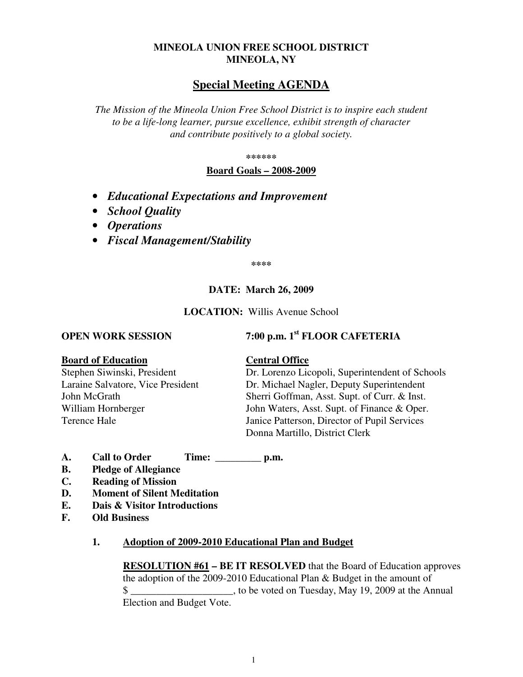## **MINEOLA UNION FREE SCHOOL DISTRICT MINEOLA, NY**

# **Special Meeting AGENDA**

*The Mission of the Mineola Union Free School District is to inspire each student to be a life-long learner, pursue excellence, exhibit strength of character and contribute positively to a global society.* 

**\*\*\*\*\*\*** 

**Board Goals – 2008-2009**

- *Educational Expectations and Improvement*
- *School Quality*
- *Operations*
- *Fiscal Management/Stability*

**\*\*\*\*** 

### **DATE: March 26, 2009**

**LOCATION:** Willis Avenue School

# **OPEN WORK SESSION** 7:00 p.m. 1<sup>st</sup> FLOOR CAFETERIA

### **Board of Education Central Office**

Stephen Siwinski, President Dr. Lorenzo Licopoli, Superintendent of Schools Laraine Salvatore, Vice President Dr. Michael Nagler, Deputy Superintendent John McGrath Sherri Goffman, Asst. Supt. of Curr. & Inst. William Hornberger John Waters, Asst. Supt. of Finance & Oper. Terence Hale Janice Patterson, Director of Pupil Services Donna Martillo, District Clerk

- **A. Call to Order Time: \_\_\_\_\_\_\_\_\_ p.m.**
- **B. Pledge of Allegiance**
- **C. Reading of Mission**
- **D. Moment of Silent Meditation**
- **E. Dais & Visitor Introductions**
- **F. Old Business**

### **1. Adoption of 2009-2010 Educational Plan and Budget**

**RESOLUTION #61 – BE IT RESOLVED** that the Board of Education approves the adoption of the 2009-2010 Educational Plan & Budget in the amount of \$ Election and Budget Vote.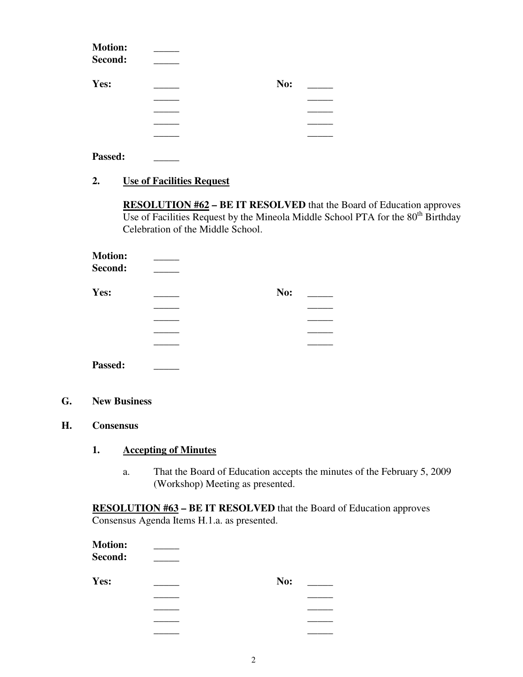| <b>Motion:</b><br>Second: |     |  |
|---------------------------|-----|--|
|                           |     |  |
| Yes:                      | No: |  |
|                           |     |  |
|                           |     |  |
|                           |     |  |
|                           |     |  |
|                           |     |  |

Passed:

## **2. Use of Facilities Request**

**RESOLUTION #62 – BE IT RESOLVED** that the Board of Education approves Use of Facilities Request by the Mineola Middle School PTA for the  $80<sup>th</sup>$  Birthday Celebration of the Middle School.

| <b>Motion:</b> |     |
|----------------|-----|
| Second:        |     |
| Yes:           | No: |
|                |     |
|                |     |
|                |     |
|                |     |

Passed:

### **G. New Business**

### **H. Consensus**

# **1. Accepting of Minutes**

a. That the Board of Education accepts the minutes of the February 5, 2009 (Workshop) Meeting as presented.

**RESOLUTION #63 – BE IT RESOLVED** that the Board of Education approves Consensus Agenda Items H.1.a. as presented.

| <b>Motion:</b><br>Second: |     |
|---------------------------|-----|
| Yes:                      | No: |
|                           |     |
|                           |     |
|                           |     |
|                           |     |